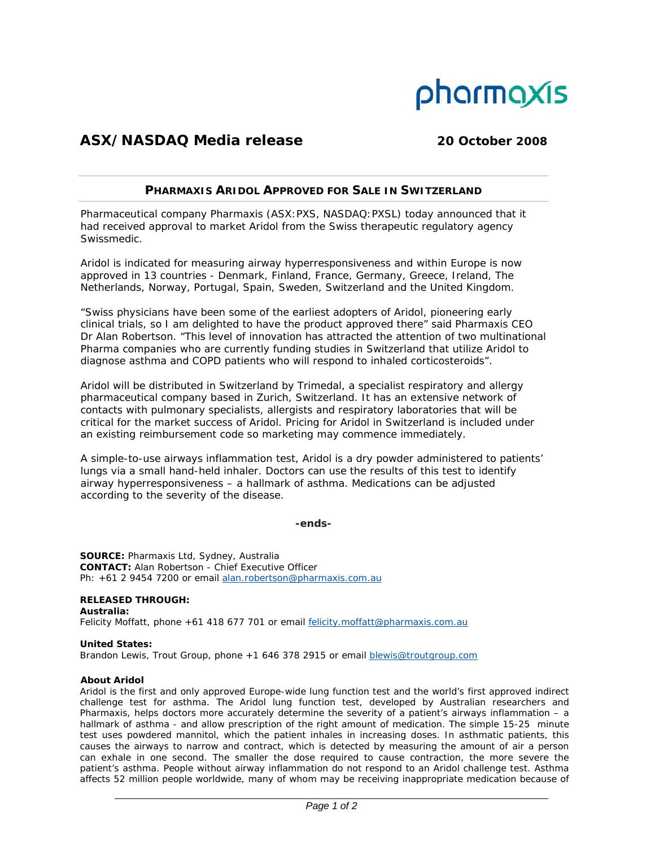

# **ASX/NASDAQ Media release 20 October 2008**

## **PHARMAXIS ARIDOL APPROVED FOR SALE IN SWITZERLAND**

Pharmaceutical company Pharmaxis (ASX:PXS, NASDAQ:PXSL) today announced that it had received approval to market Aridol from the Swiss therapeutic regulatory agency Swissmedic.

Aridol is indicated for measuring airway hyperresponsiveness and within Europe is now approved in 13 countries - Denmark, Finland, France, Germany, Greece, Ireland, The Netherlands, Norway, Portugal, Spain, Sweden, Switzerland and the United Kingdom.

"Swiss physicians have been some of the earliest adopters of Aridol, pioneering early clinical trials, so I am delighted to have the product approved there" said Pharmaxis CEO Dr Alan Robertson. "This level of innovation has attracted the attention of two multinational Pharma companies who are currently funding studies in Switzerland that utilize Aridol to diagnose asthma and COPD patients who will respond to inhaled corticosteroids".

Aridol will be distributed in Switzerland by Trimedal, a specialist respiratory and allergy pharmaceutical company based in Zurich, Switzerland. It has an extensive network of contacts with pulmonary specialists, allergists and respiratory laboratories that will be critical for the market success of Aridol. Pricing for Aridol in Switzerland is included under an existing reimbursement code so marketing may commence immediately.

A simple-to-use airways inflammation test, Aridol is a dry powder administered to patients' lungs via a small hand-held inhaler. Doctors can use the results of this test to identify airway hyperresponsiveness – a hallmark of asthma. Medications can be adjusted according to the severity of the disease.

**-ends-**

**SOURCE:** Pharmaxis Ltd, Sydney, Australia **CONTACT:** Alan Robertson - Chief Executive Officer Ph: +61 2 9454 7200 or email alan.robertson@pharmaxis.com.au

**RELEASED THROUGH: Australia:**  Felicity Moffatt, phone +61 418 677 701 or email felicity.moffatt@pharmaxis.com.au

### **United States:**

Brandon Lewis, Trout Group, phone +1 646 378 2915 or email blewis@troutgroup.com

### **About Aridol**

Aridol is the first and only approved Europe-wide lung function test and the world's first approved indirect challenge test for asthma. The Aridol lung function test, developed by Australian researchers and Pharmaxis, helps doctors more accurately determine the severity of a patient's airways inflammation – a hallmark of asthma - and allow prescription of the right amount of medication. The simple 15-25 minute test uses powdered mannitol, which the patient inhales in increasing doses. In asthmatic patients, this causes the airways to narrow and contract, which is detected by measuring the amount of air a person can exhale in one second. The smaller the dose required to cause contraction, the more severe the patient's asthma. People without airway inflammation do not respond to an Aridol challenge test. Asthma affects 52 million people worldwide, many of whom may be receiving inappropriate medication because of